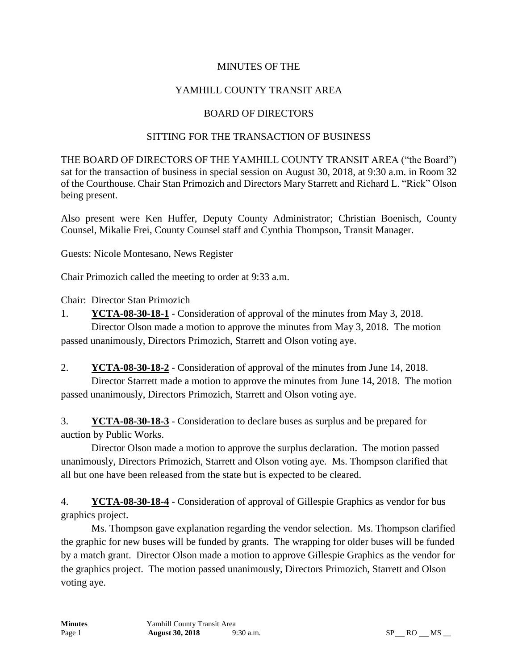### MINUTES OF THE

# YAMHILL COUNTY TRANSIT AREA

### BOARD OF DIRECTORS

### SITTING FOR THE TRANSACTION OF BUSINESS

THE BOARD OF DIRECTORS OF THE YAMHILL COUNTY TRANSIT AREA ("the Board") sat for the transaction of business in special session on August 30, 2018, at 9:30 a.m. in Room 32 of the Courthouse. Chair Stan Primozich and Directors Mary Starrett and Richard L. "Rick" Olson being present.

Also present were Ken Huffer, Deputy County Administrator; Christian Boenisch, County Counsel, Mikalie Frei, County Counsel staff and Cynthia Thompson, Transit Manager.

Guests: Nicole Montesano, News Register

Chair Primozich called the meeting to order at 9:33 a.m.

Chair: Director Stan Primozich

1. **YCTA-08-30-18-1** - Consideration of approval of the minutes from May 3, 2018. Director Olson made a motion to approve the minutes from May 3, 2018. The motion

passed unanimously, Directors Primozich, Starrett and Olson voting aye.

2. **YCTA-08-30-18-2** - Consideration of approval of the minutes from June 14, 2018. Director Starrett made a motion to approve the minutes from June 14, 2018. The motion passed unanimously, Directors Primozich, Starrett and Olson voting aye.

3. **YCTA-08-30-18-3** - Consideration to declare buses as surplus and be prepared for auction by Public Works.

Director Olson made a motion to approve the surplus declaration. The motion passed unanimously, Directors Primozich, Starrett and Olson voting aye. Ms. Thompson clarified that all but one have been released from the state but is expected to be cleared.

4. **YCTA-08-30-18-4** - Consideration of approval of Gillespie Graphics as vendor for bus graphics project.

Ms. Thompson gave explanation regarding the vendor selection. Ms. Thompson clarified the graphic for new buses will be funded by grants. The wrapping for older buses will be funded by a match grant. Director Olson made a motion to approve Gillespie Graphics as the vendor for the graphics project. The motion passed unanimously, Directors Primozich, Starrett and Olson voting aye.